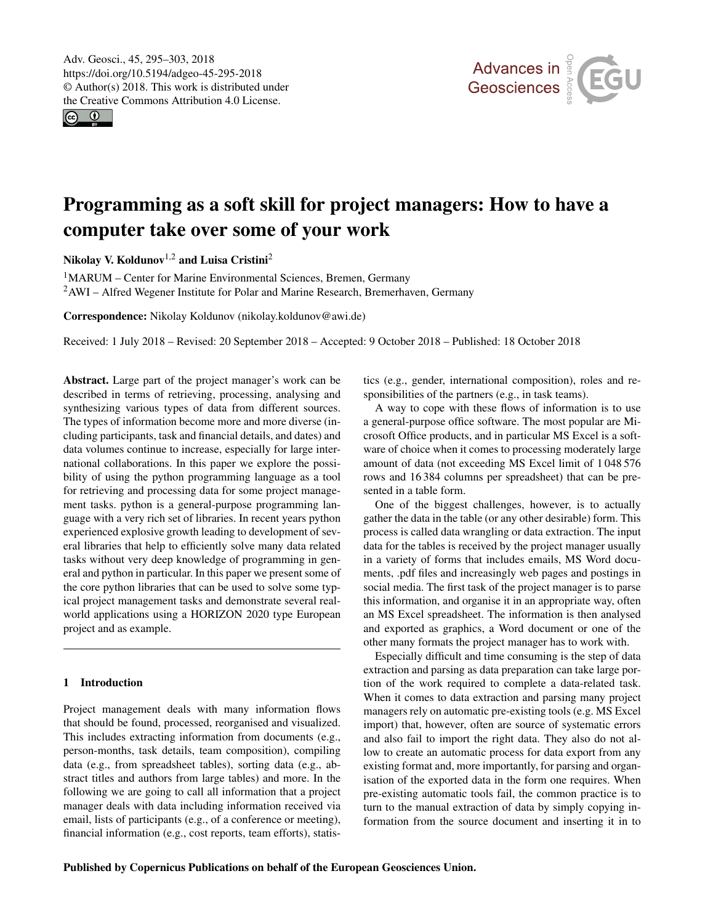<span id="page-0-1"></span> $\circ$   $\circ$ 



# Programming as a soft skill for project managers: How to have a computer take over some of your work

Nikolay V. Koldunov<sup>[1,2](#page-0-0)</sup> and Luisa Cristini<sup>[2](#page-0-0)</sup>

<sup>1</sup>MARUM – Center for Marine Environmental Sciences, Bremen, Germany <sup>2</sup>AWI – Alfred Wegener Institute for Polar and Marine Research, Bremerhaven, Germany

Correspondence: Nikolay Koldunov (nikolay.koldunov@awi.de)

Received: 1 July 2018 – Revised: 20 September 2018 – Accepted: 9 October 2018 – Published: 18 October 2018

<span id="page-0-0"></span>Abstract. Large part of the project manager's work can be described in terms of retrieving, processing, analysing and synthesizing various types of data from different sources. The types of information become more and more diverse (including participants, task and financial details, and dates) and data volumes continue to increase, especially for large international collaborations. In this paper we explore the possibility of using the python programming language as a tool for retrieving and processing data for some project management tasks. python is a general-purpose programming language with a very rich set of libraries. In recent years python experienced explosive growth leading to development of several libraries that help to efficiently solve many data related tasks without very deep knowledge of programming in general and python in particular. In this paper we present some of the core python libraries that can be used to solve some typical project management tasks and demonstrate several realworld applications using a HORIZON 2020 type European project and as example.

## 1 Introduction

Project management deals with many information flows that should be found, processed, reorganised and visualized. This includes extracting information from documents (e.g., person-months, task details, team composition), compiling data (e.g., from spreadsheet tables), sorting data (e.g., abstract titles and authors from large tables) and more. In the following we are going to call all information that a project manager deals with data including information received via email, lists of participants (e.g., of a conference or meeting), financial information (e.g., cost reports, team efforts), statistics (e.g., gender, international composition), roles and responsibilities of the partners (e.g., in task teams).

A way to cope with these flows of information is to use a general-purpose office software. The most popular are Microsoft Office products, and in particular MS Excel is a software of choice when it comes to processing moderately large amount of data (not exceeding MS Excel limit of 1 048 576 rows and 16 384 columns per spreadsheet) that can be presented in a table form.

One of the biggest challenges, however, is to actually gather the data in the table (or any other desirable) form. This process is called data wrangling or data extraction. The input data for the tables is received by the project manager usually in a variety of forms that includes emails, MS Word documents, .pdf files and increasingly web pages and postings in social media. The first task of the project manager is to parse this information, and organise it in an appropriate way, often an MS Excel spreadsheet. The information is then analysed and exported as graphics, a Word document or one of the other many formats the project manager has to work with.

Especially difficult and time consuming is the step of data extraction and parsing as data preparation can take large portion of the work required to complete a data-related task. When it comes to data extraction and parsing many project managers rely on automatic pre-existing tools (e.g. MS Excel import) that, however, often are source of systematic errors and also fail to import the right data. They also do not allow to create an automatic process for data export from any existing format and, more importantly, for parsing and organisation of the exported data in the form one requires. When pre-existing automatic tools fail, the common practice is to turn to the manual extraction of data by simply copying information from the source document and inserting it in to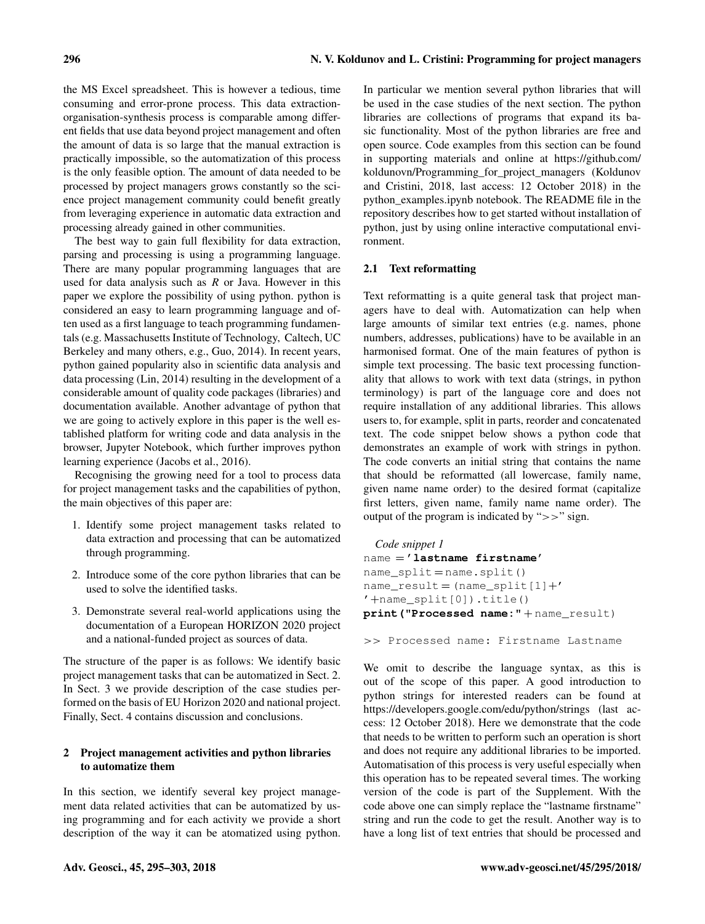the MS Excel spreadsheet. This is however a tedious, time consuming and error-prone process. This data extractionorganisation-synthesis process is comparable among different fields that use data beyond project management and often the amount of data is so large that the manual extraction is practically impossible, so the automatization of this process is the only feasible option. The amount of data needed to be processed by project managers grows constantly so the science project management community could benefit greatly from leveraging experience in automatic data extraction and processing already gained in other communities.

The best way to gain full flexibility for data extraction, parsing and processing is using a programming language. There are many popular programming languages that are used for data analysis such as  $R$  or Java. However in this paper we explore the possibility of using python. python is considered an easy to learn programming language and often used as a first language to teach programming fundamentals (e.g. Massachusetts Institute of Technology, Caltech, UC Berkeley and many others, e.g., Guo, 2014). In recent years, python gained popularity also in scientific data analysis and data processing (Lin, 2014) resulting in the development of a considerable amount of quality code packages (libraries) and documentation available. Another advantage of python that we are going to actively explore in this paper is the well established platform for writing code and data analysis in the browser, Jupyter Notebook, which further improves python learning experience (Jacobs et al., 2016).

Recognising the growing need for a tool to process data for project management tasks and the capabilities of python, the main objectives of this paper are:

- 1. Identify some project management tasks related to data extraction and processing that can be automatized through programming.
- 2. Introduce some of the core python libraries that can be used to solve the identified tasks.
- 3. Demonstrate several real-world applications using the documentation of a European HORIZON 2020 project and a national-funded project as sources of data.

The structure of the paper is as follows: We identify basic project management tasks that can be automatized in Sect. 2. In Sect. 3 we provide description of the case studies performed on the basis of EU Horizon 2020 and national project. Finally, Sect. 4 contains discussion and conclusions.

# 2 Project management activities and python libraries to automatize them

In this section, we identify several key project management data related activities that can be automatized by using programming and for each activity we provide a short description of the way it can be atomatized using python. In particular we mention several python libraries that will be used in the case studies of the next section. The python libraries are collections of programs that expand its basic functionality. Most of the python libraries are free and open source. Code examples from this section can be found in supporting materials and online at [https://github.com/](https://github.com/koldunovn/Programming_for_project_managers) [koldunovn/Programming\\_for\\_project\\_managers](https://github.com/koldunovn/Programming_for_project_managers) (Koldunov and Cristini, 2018, last access: 12 October 2018) in the python\_examples.ipynb notebook. The README file in the repository describes how to get started without installation of python, just by using online interactive computational environment.

### 2.1 Text reformatting

Text reformatting is a quite general task that project managers have to deal with. Automatization can help when large amounts of similar text entries (e.g. names, phone numbers, addresses, publications) have to be available in an harmonised format. One of the main features of python is simple text processing. The basic text processing functionality that allows to work with text data (strings, in python terminology) is part of the language core and does not require installation of any additional libraries. This allows users to, for example, split in parts, reorder and concatenated text. The code snippet below shows a python code that demonstrates an example of work with strings in python. The code converts an initial string that contains the name that should be reformatted (all lowercase, family name, given name name order) to the desired format (capitalize first letters, given name, family name name order). The output of the program is indicated by ">>" sign.

```
Code snippet 1
name = 'lastname firstname'
name_split = name.split()
name\_result = (name\_split[1] + ''+name_split[0]).title()
print("Processed name:" + name_result)
```
>> Processed name: Firstname Lastname

We omit to describe the language syntax, as this is out of the scope of this paper. A good introduction to python strings for interested readers can be found at <https://developers.google.com/edu/python/strings> (last access: 12 October 2018). Here we demonstrate that the code that needs to be written to perform such an operation is short and does not require any additional libraries to be imported. Automatisation of this process is very useful especially when this operation has to be repeated several times. The working version of the code is part of the Supplement. With the code above one can simply replace the "lastname firstname" string and run the code to get the result. Another way is to have a long list of text entries that should be processed and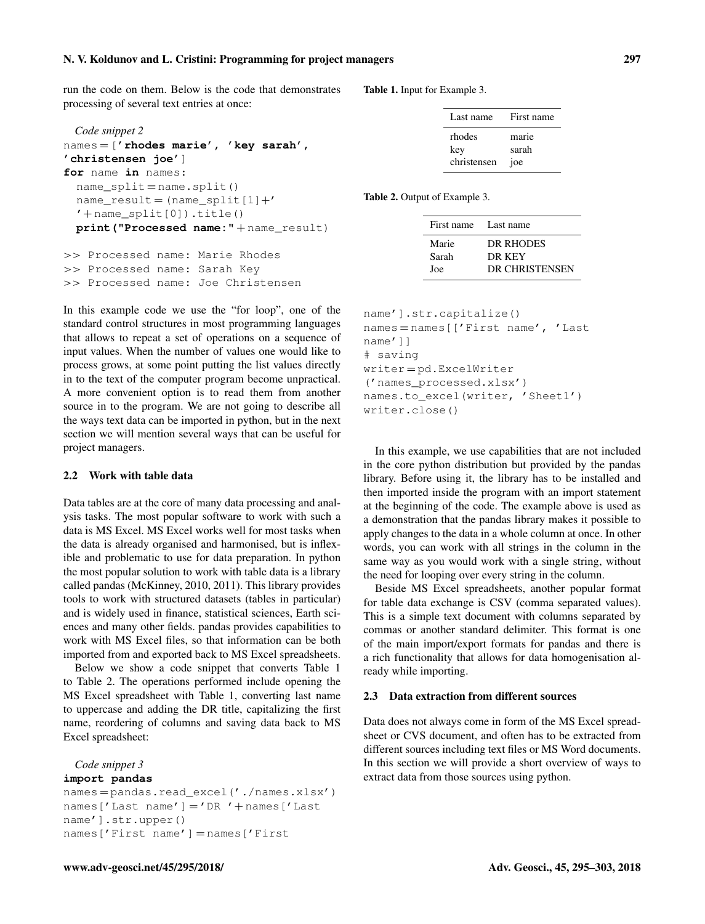# N. V. Koldunov and L. Cristini: Programming for project managers 297

run the code on them. Below is the code that demonstrates processing of several text entries at once:

```
Code snippet 2
names = ['rhodes marie', 'key sarah',
'christensen joe']
for name in names:
  name_split = name.split()
  name result = (name split [1]+'' + name_split[0]).title()
  print("Processed name:" + name_result)
>> Processed name: Marie Rhodes
```
>> Processed name: Sarah Key >> Processed name: Joe Christensen

In this example code we use the "for loop", one of the standard control structures in most programming languages that allows to repeat a set of operations on a sequence of input values. When the number of values one would like to process grows, at some point putting the list values directly in to the text of the computer program become unpractical. A more convenient option is to read them from another source in to the program. We are not going to describe all the ways text data can be imported in python, but in the next section we will mention several ways that can be useful for project managers.

#### 2.2 Work with table data

Data tables are at the core of many data processing and analysis tasks. The most popular software to work with such a data is MS Excel. MS Excel works well for most tasks when the data is already organised and harmonised, but is inflexible and problematic to use for data preparation. In python the most popular solution to work with table data is a library called pandas (McKinney, 2010, 2011). This library provides tools to work with structured datasets (tables in particular) and is widely used in finance, statistical sciences, Earth sciences and many other fields. pandas provides capabilities to work with MS Excel files, so that information can be both imported from and exported back to MS Excel spreadsheets.

Below we show a code snippet that converts Table 1 to Table 2. The operations performed include opening the MS Excel spreadsheet with Table 1, converting last name to uppercase and adding the DR title, capitalizing the first name, reordering of columns and saving data back to MS Excel spreadsheet:

*Code snippet 3*

#### **import pandas**

```
names = pandas.read_excel('./names.xlsx')
names['Last name'] = 'DR '+ names['Last
name'].str.upper()
names['First name'] = names['First
```
Table 1. Input for Example 3.

| Last name   | First name |
|-------------|------------|
| rhodes      | marie      |
| key         | sarah      |
| christensen | joe        |

Table 2. Output of Example 3.

| First name Last name |                |
|----------------------|----------------|
| Marie                | DR RHODES      |
| Sarah                | DR KEY         |
| Joe                  | DR CHRISTENSEN |

```
name'].str.capitalize()
names = names[['First name', 'Last
name']]
# saving
writer = pd.ExcelWriter
('names_processed.xlsx')
names.to_excel(writer, 'Sheet1')
writer.close()
```
In this example, we use capabilities that are not included in the core python distribution but provided by the pandas library. Before using it, the library has to be installed and then imported inside the program with an import statement at the beginning of the code. The example above is used as a demonstration that the pandas library makes it possible to apply changes to the data in a whole column at once. In other words, you can work with all strings in the column in the same way as you would work with a single string, without the need for looping over every string in the column.

Beside MS Excel spreadsheets, another popular format for table data exchange is CSV (comma separated values). This is a simple text document with columns separated by commas or another standard delimiter. This format is one of the main import/export formats for pandas and there is a rich functionality that allows for data homogenisation already while importing.

#### 2.3 Data extraction from different sources

Data does not always come in form of the MS Excel spreadsheet or CVS document, and often has to be extracted from different sources including text files or MS Word documents. In this section we will provide a short overview of ways to extract data from those sources using python.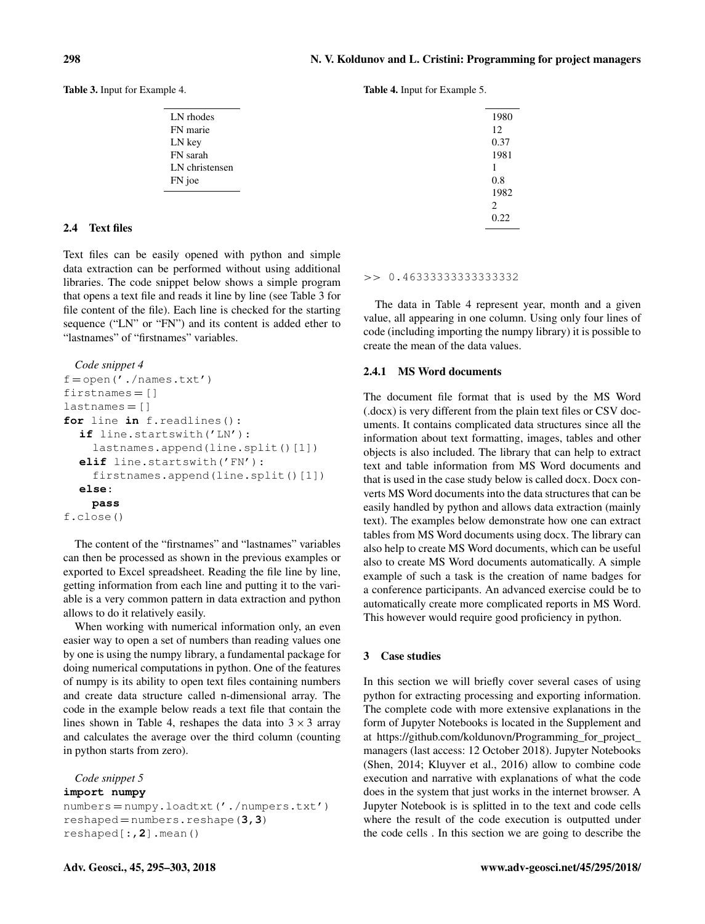Table 3. Input for Example 4.

| LN rhodes      |
|----------------|
| FN marie       |
| LN key         |
| FN sarah       |
| LN christensen |
| FN joe         |
|                |

# 2.4 Text files

Text files can be easily opened with python and simple data extraction can be performed without using additional libraries. The code snippet below shows a simple program that opens a text file and reads it line by line (see Table 3 for file content of the file). Each line is checked for the starting sequence ("LN" or "FN") and its content is added ether to "lastnames" of "firstnames" variables.

```
Code snippet 4
f = open('./names.txt')firstnames = []
lastnames = []for line in f.readlines():
  if line.startswith('LN'):
    lastnames.append(line.split()[1])
  elif line.startswith('FN'):
    firstnames.append(line.split()[1])
  else:
    pass
f.close()
```
The content of the "firstnames" and "lastnames" variables can then be processed as shown in the previous examples or exported to Excel spreadsheet. Reading the file line by line, getting information from each line and putting it to the variable is a very common pattern in data extraction and python allows to do it relatively easily.

When working with numerical information only, an even easier way to open a set of numbers than reading values one by one is using the numpy library, a fundamental package for doing numerical computations in python. One of the features of numpy is its ability to open text files containing numbers and create data structure called n-dimensional array. The code in the example below reads a text file that contain the lines shown in Table 4, reshapes the data into  $3 \times 3$  array and calculates the average over the third column (counting in python starts from zero).

*Code snippet 5* **import numpy**

numbers = numpy.loadtxt('./numpers.txt') reshaped = numbers.reshape(**3,3**) reshaped[:,**2**].mean()

Table 4. Input for Example 5.

| 1980           |
|----------------|
| 12             |
| 0.37           |
| 1981           |
| 1              |
| 0.8            |
| 1982           |
| $\overline{c}$ |
| 0.22           |
|                |

>> 0.46333333333333332

The data in Table 4 represent year, month and a given value, all appearing in one column. Using only four lines of code (including importing the numpy library) it is possible to create the mean of the data values.

#### 2.4.1 MS Word documents

The document file format that is used by the MS Word (.docx) is very different from the plain text files or CSV documents. It contains complicated data structures since all the information about text formatting, images, tables and other objects is also included. The library that can help to extract text and table information from MS Word documents and that is used in the case study below is called docx. Docx converts MS Word documents into the data structures that can be easily handled by python and allows data extraction (mainly text). The examples below demonstrate how one can extract tables from MS Word documents using docx. The library can also help to create MS Word documents, which can be useful also to create MS Word documents automatically. A simple example of such a task is the creation of name badges for a conference participants. An advanced exercise could be to automatically create more complicated reports in MS Word. This however would require good proficiency in python.

#### 3 Case studies

In this section we will briefly cover several cases of using python for extracting processing and exporting information. The complete code with more extensive explanations in the form of Jupyter Notebooks is located in the Supplement and at [https://github.com/koldunovn/Programming\\_for\\_project\\_](https://github.com/koldunovn/Programming_for_project_managers) [managers](https://github.com/koldunovn/Programming_for_project_managers) (last access: 12 October 2018). Jupyter Notebooks (Shen, 2014; Kluyver et al., 2016) allow to combine code execution and narrative with explanations of what the code does in the system that just works in the internet browser. A Jupyter Notebook is is splitted in to the text and code cells where the result of the code execution is outputted under the code cells . In this section we are going to describe the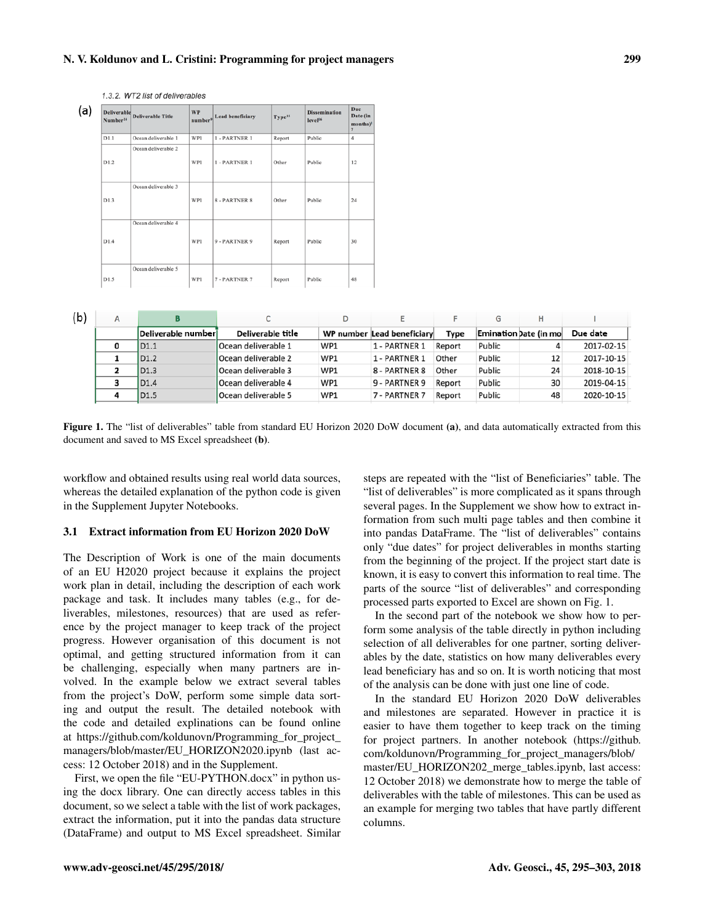# N. V. Koldunov and L. Cristini: Programming for project managers 299

1.3.2. WT2 list of deliverables

| (a) | <b>Deliverable</b><br>Number <sup>14</sup> | <b>Deliverable Title</b> | <b>WP</b><br>number <sup>9</sup> | <b>Lead beneficiary</b> | Type <sup>15</sup> | <b>Dissemination</b><br>level <sup>16</sup> | Due<br>Date (in<br>months) <sup>1</sup><br>$\overline{ }$ |
|-----|--------------------------------------------|--------------------------|----------------------------------|-------------------------|--------------------|---------------------------------------------|-----------------------------------------------------------|
|     | D1.1                                       | Ocean deliverable 1      | WP1                              | 1 - PARTNER 1           | Report             | Public                                      | $\overline{4}$                                            |
|     | D1.2                                       | Ocean deliverable 2      | WP1                              | 1 - PARTNER 1           | Other              | Public                                      | 12                                                        |
|     | D1.3                                       | Ocean deliverable 3      | WP1                              | <b>8 - PARTNER 8</b>    | Other              | Public                                      | 24                                                        |
|     | D1.4                                       | Ocean deliverable 4      | WP1                              | 9 - PARTNER 9           | Report             | Public                                      | 30                                                        |
|     | D1.5                                       | Ocean deliverable 5      | WP1                              | 7 - PARTNER 7           | Report             | Public                                      | 48                                                        |

| (b) | А |                     |                      |                 |                            |        | G                     |    |            |
|-----|---|---------------------|----------------------|-----------------|----------------------------|--------|-----------------------|----|------------|
|     |   | Deliverable numberl | Deliverable title    |                 | WP number Lead beneficiary | Type   | Emination Date (in mo |    | Due date   |
|     |   | D <sub>1.1</sub>    | Ocean deliverable 1  | WP1             | 1 - PARTNER 1              | Report | Public                |    | 2017-02-15 |
|     |   | D <sub>1.2</sub>    | lOcean deliverable 2 | WP1             | 1 - PARTNER 1              | Other  | Public                | 12 | 2017-10-15 |
|     | 2 | D <sub>1.3</sub>    | Ocean deliverable 3  | WP1             | 8 - PARTNER 8              | Other  | Public                | 24 | 2018-10-15 |
|     | 3 | D <sub>1.4</sub>    | lOcean deliverable 4 | WP1             | 9 - PARTNER 9              | Report | Public                | 30 | 2019-04-15 |
|     |   | D <sub>1.5</sub>    | Ocean deliverable 5  | WP <sub>1</sub> | 7 - PARTNER 7              | Report | Public                | 48 | 2020-10-15 |
|     |   |                     |                      |                 |                            |        |                       |    |            |

Figure 1. The "list of deliverables" table from standard EU Horizon 2020 DoW document (a), and data automatically extracted from this document and saved to MS Excel spreadsheet (b).

workflow and obtained results using real world data sources, whereas the detailed explanation of the python code is given in the Supplement Jupyter Notebooks.

#### 3.1 Extract information from EU Horizon 2020 DoW

The Description of Work is one of the main documents of an EU H2020 project because it explains the project work plan in detail, including the description of each work package and task. It includes many tables (e.g., for deliverables, milestones, resources) that are used as reference by the project manager to keep track of the project progress. However organisation of this document is not optimal, and getting structured information from it can be challenging, especially when many partners are involved. In the example below we extract several tables from the project's DoW, perform some simple data sorting and output the result. The detailed notebook with the code and detailed explinations can be found online at [https://github.com/koldunovn/Programming\\_for\\_project\\_](https://github.com/koldunovn/Programming_for_project_managers/blob/master/EU_HORIZON2020.ipynb) [managers/blob/master/EU\\_HORIZON2020.ipynb](https://github.com/koldunovn/Programming_for_project_managers/blob/master/EU_HORIZON2020.ipynb) (last access: 12 October 2018) and in the Supplement.

First, we open the file "EU-PYTHON.docx" in python using the docx library. One can directly access tables in this document, so we select a table with the list of work packages, extract the information, put it into the pandas data structure (DataFrame) and output to MS Excel spreadsheet. Similar

steps are repeated with the "list of Beneficiaries" table. The "list of deliverables" is more complicated as it spans through several pages. In the Supplement we show how to extract information from such multi page tables and then combine it into pandas DataFrame. The "list of deliverables" contains only "due dates" for project deliverables in months starting from the beginning of the project. If the project start date is known, it is easy to convert this information to real time. The parts of the source "list of deliverables" and corresponding processed parts exported to Excel are shown on Fig. 1.

In the second part of the notebook we show how to perform some analysis of the table directly in python including selection of all deliverables for one partner, sorting deliverables by the date, statistics on how many deliverables every lead beneficiary has and so on. It is worth noticing that most of the analysis can be done with just one line of code.

In the standard EU Horizon 2020 DoW deliverables and milestones are separated. However in practice it is easier to have them together to keep track on the timing for project partners. In another notebook [\(https://github.](https://github.com/koldunovn/Programming_for_project_managers/blob/master/EU_HORIZON202_merge_tables.ipynb) [com/koldunovn/Programming\\_for\\_project\\_managers/blob/](https://github.com/koldunovn/Programming_for_project_managers/blob/master/EU_HORIZON202_merge_tables.ipynb) [master/EU\\_HORIZON202\\_merge\\_tables.ipynb,](https://github.com/koldunovn/Programming_for_project_managers/blob/master/EU_HORIZON202_merge_tables.ipynb) last access: 12 October 2018) we demonstrate how to merge the table of deliverables with the table of milestones. This can be used as an example for merging two tables that have partly different columns.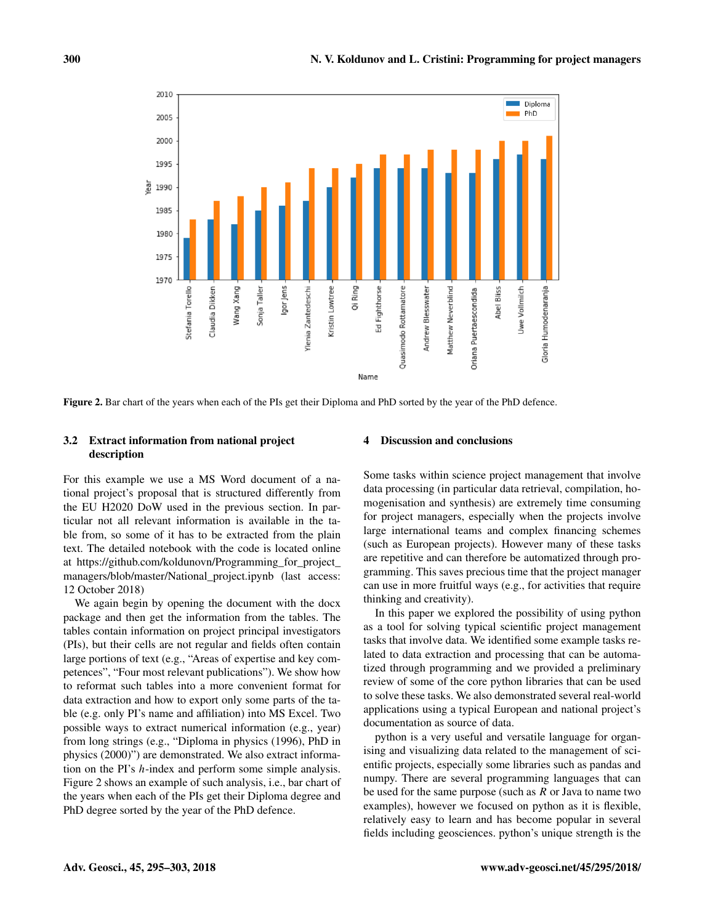

Figure 2. Bar chart of the years when each of the PIs get their Diploma and PhD sorted by the year of the PhD defence.

# 3.2 Extract information from national project description

For this example we use a MS Word document of a national project's proposal that is structured differently from the EU H2020 DoW used in the previous section. In particular not all relevant information is available in the table from, so some of it has to be extracted from the plain text. The detailed notebook with the code is located online at [https://github.com/koldunovn/Programming\\_for\\_project\\_](https://github.com/koldunovn/Programming_for_project_managers/blob/master/National_project.ipynb) [managers/blob/master/National\\_project.ipynb](https://github.com/koldunovn/Programming_for_project_managers/blob/master/National_project.ipynb) (last access: 12 October 2018)

We again begin by opening the document with the docx package and then get the information from the tables. The tables contain information on project principal investigators (PIs), but their cells are not regular and fields often contain large portions of text (e.g., "Areas of expertise and key competences", "Four most relevant publications"). We show how to reformat such tables into a more convenient format for data extraction and how to export only some parts of the table (e.g. only PI's name and affiliation) into MS Excel. Two possible ways to extract numerical information (e.g., year) from long strings (e.g., "Diploma in physics (1996), PhD in physics (2000)") are demonstrated. We also extract information on the PI's h-index and perform some simple analysis. Figure 2 shows an example of such analysis, i.e., bar chart of the years when each of the PIs get their Diploma degree and PhD degree sorted by the year of the PhD defence.

#### Discussion and conclusions

Some tasks within science project management that involve data processing (in particular data retrieval, compilation, homogenisation and synthesis) are extremely time consuming for project managers, especially when the projects involve large international teams and complex financing schemes (such as European projects). However many of these tasks are repetitive and can therefore be automatized through programming. This saves precious time that the project manager can use in more fruitful ways (e.g., for activities that require thinking and creativity).

In this paper we explored the possibility of using python as a tool for solving typical scientific project management tasks that involve data. We identified some example tasks related to data extraction and processing that can be automatized through programming and we provided a preliminary review of some of the core python libraries that can be used to solve these tasks. We also demonstrated several real-world applications using a typical European and national project's documentation as source of data.

python is a very useful and versatile language for organising and visualizing data related to the management of scientific projects, especially some libraries such as pandas and numpy. There are several programming languages that can be used for the same purpose (such as  $R$  or Java to name two examples), however we focused on python as it is flexible, relatively easy to learn and has become popular in several fields including geosciences. python's unique strength is the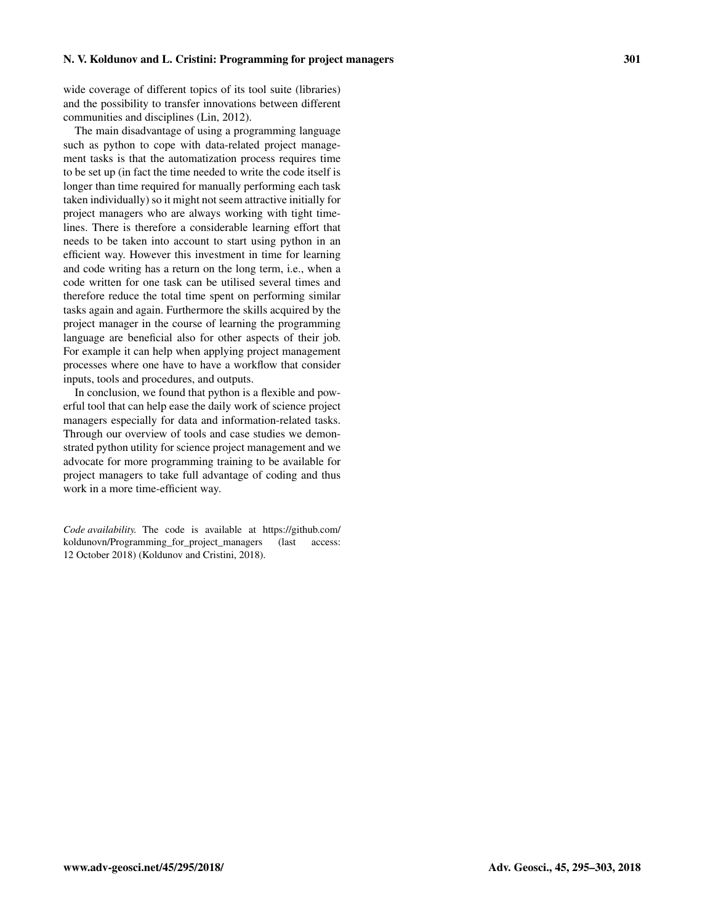wide coverage of different topics of its tool suite (libraries) and the possibility to transfer innovations between different communities and disciplines (Lin, 2012).

The main disadvantage of using a programming language such as python to cope with data-related project management tasks is that the automatization process requires time to be set up (in fact the time needed to write the code itself is longer than time required for manually performing each task taken individually) so it might not seem attractive initially for project managers who are always working with tight timelines. There is therefore a considerable learning effort that needs to be taken into account to start using python in an efficient way. However this investment in time for learning and code writing has a return on the long term, i.e., when a code written for one task can be utilised several times and therefore reduce the total time spent on performing similar tasks again and again. Furthermore the skills acquired by the project manager in the course of learning the programming language are beneficial also for other aspects of their job. For example it can help when applying project management processes where one have to have a workflow that consider inputs, tools and procedures, and outputs.

In conclusion, we found that python is a flexible and powerful tool that can help ease the daily work of science project managers especially for data and information-related tasks. Through our overview of tools and case studies we demonstrated python utility for science project management and we advocate for more programming training to be available for project managers to take full advantage of coding and thus work in a more time-efficient way.

*Code availability.* The code is available at [https://github.com/](https://github.com/koldunovn/Programming_for_project_managers) [koldunovn/Programming\\_for\\_project\\_managers](https://github.com/koldunovn/Programming_for_project_managers) (last access: 12 October 2018) (Koldunov and Cristini, 2018).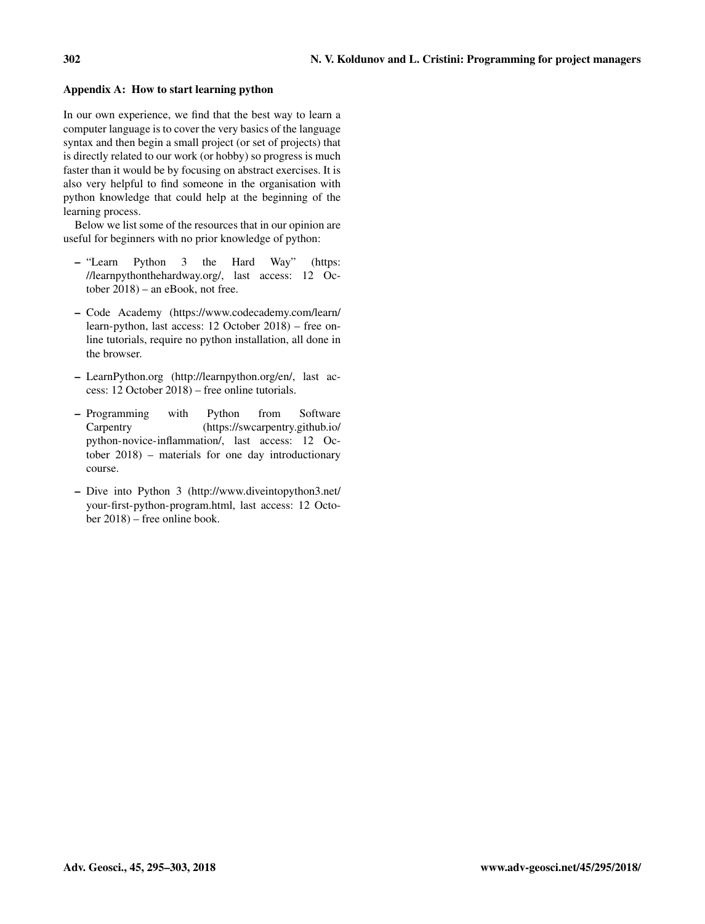# Appendix A: How to start learning python

In our own experience, we find that the best way to learn a computer language is to cover the very basics of the language syntax and then begin a small project (or set of projects) that is directly related to our work (or hobby) so progress is much faster than it would be by focusing on abstract exercises. It is also very helpful to find someone in the organisation with python knowledge that could help at the beginning of the learning process.

Below we list some of the resources that in our opinion are useful for beginners with no prior knowledge of python:

- "Learn Python 3 the Hard Way" [\(https:](https://learnpythonthehardway.org/) [//learnpythonthehardway.org/,](https://learnpythonthehardway.org/) last access: 12 October 2018) – an eBook, not free.
- Code Academy [\(https://www.codecademy.com/learn/](https://www.codecademy.com/learn/learn-python) [learn-python,](https://www.codecademy.com/learn/learn-python) last access: 12 October 2018) – free online tutorials, require no python installation, all done in the browser.
- LearnPython.org [\(http://learnpython.org/en/,](http://learnpython.org/en/) last access: 12 October 2018) – free online tutorials.
- Programming with Python from Software Carpentry [\(https://swcarpentry.github.io/](https://swcarpentry.github.io/python-novice-inflammation/) [python-novice-inflammation/,](https://swcarpentry.github.io/python-novice-inflammation/) last access: 12 October 2018) – materials for one day introductionary course.
- Dive into Python 3 [\(http://www.diveintopython3.net/](http://www.diveintopython3.net/your-first-python-program.html) [your-first-python-program.html,](http://www.diveintopython3.net/your-first-python-program.html) last access: 12 October 2018) – free online book.